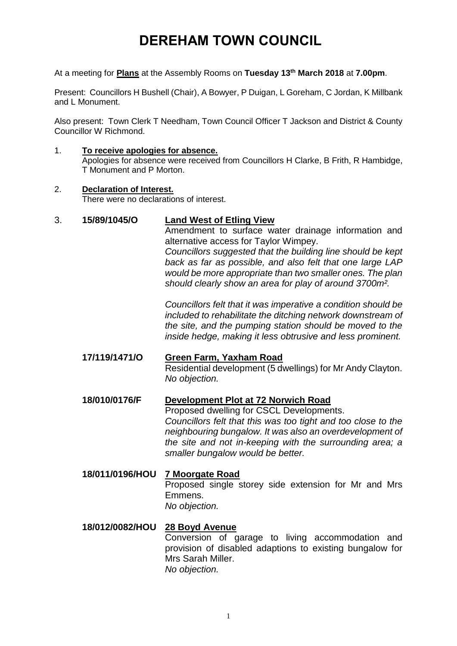# **DEREHAM TOWN COUNCIL**

At a meeting for **Plans** at the Assembly Rooms on **Tuesday 13th March 2018** at **7.00pm**.

Present: Councillors H Bushell (Chair), A Bowyer, P Duigan, L Goreham, C Jordan, K Millbank and L Monument.

Also present: Town Clerk T Needham, Town Council Officer T Jackson and District & County Councillor W Richmond.

### 1. **To receive apologies for absence.**

Apologies for absence were received from Councillors H Clarke, B Frith, R Hambidge, T Monument and P Morton.

#### 2. **Declaration of Interest.**

There were no declarations of interest.

### 3. **15/89/1045/O Land West of Etling View**

Amendment to surface water drainage information and alternative access for Taylor Wimpey. *Councillors suggested that the building line should be kept back as far as possible, and also felt that one large LAP would be more appropriate than two smaller ones. The plan should clearly show an area for play of around 3700m².*

*Councillors felt that it was imperative a condition should be included to rehabilitate the ditching network downstream of the site, and the pumping station should be moved to the inside hedge, making it less obtrusive and less prominent.* 

### **17/119/1471/O Green Farm, Yaxham Road** Residential development (5 dwellings) for Mr Andy Clayton. *No objection.*

# **18/010/0176/F Development Plot at 72 Norwich Road**

Proposed dwelling for CSCL Developments. *Councillors felt that this was too tight and too close to the neighbouring bungalow. It was also an overdevelopment of the site and not in-keeping with the surrounding area; a smaller bungalow would be better.* 

# **18/011/0196/HOU 7 Moorgate Road**

Proposed single storey side extension for Mr and Mrs Emmens. *No objection.*

### **18/012/0082/HOU 28 Boyd Avenue**

Conversion of garage to living accommodation and provision of disabled adaptions to existing bungalow for Mrs Sarah Miller. *No objection.*

1